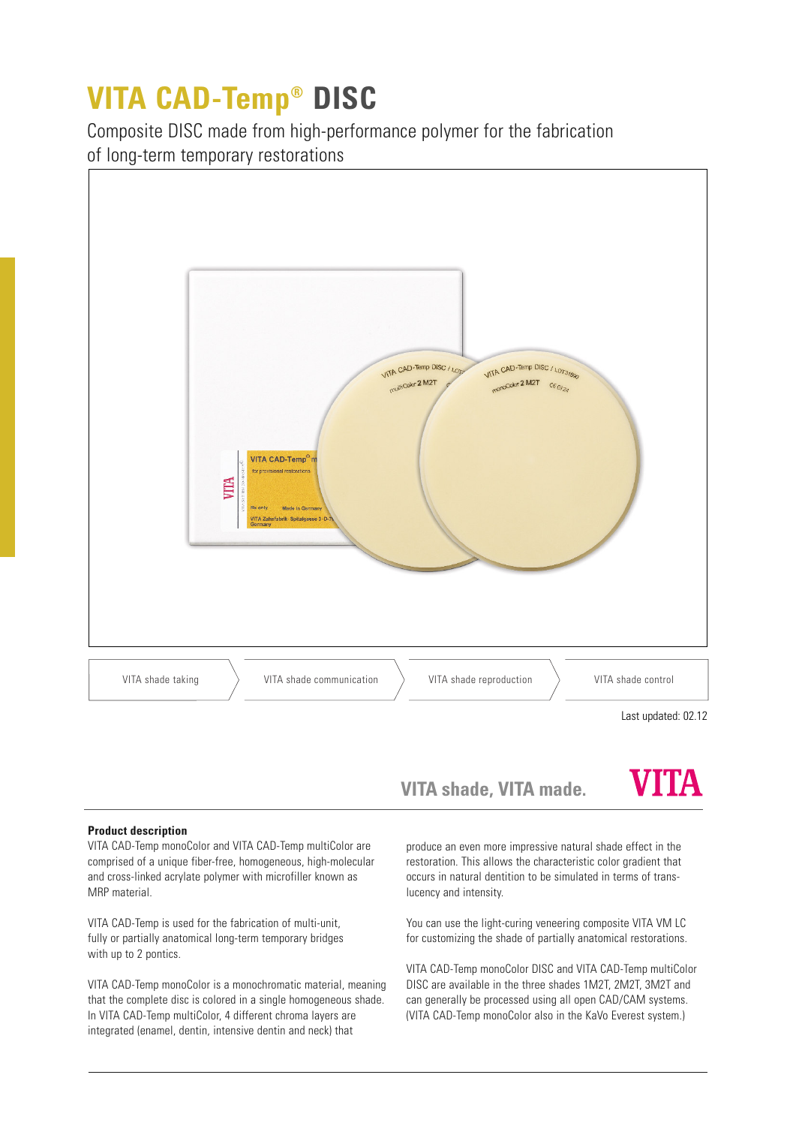# **VITA CAD-Temp® DISC**

Composite DISC made from high-performance polymer for the fabrication of long-term temporary restorations



**VITA shade, VITA made.**

## VITA

### **Product description**

VITA CAD-Temp monoColor and VITA CAD-Temp multiColor are comprised of a unique fiber-free, homogeneous, high-molecular and cross-linked acrylate polymer with microfiller known as MRP material.

VITA CAD-Temp is used for the fabrication of multi-unit, fully or partially anatomical long-term temporary bridges with up to 2 pontics.

VITA CAD-Temp monoColor is a monochromatic material, meaning that the complete disc is colored in a single homogeneous shade. In VITA CAD-Temp multiColor, 4 different chroma layers are integrated (enamel, dentin, intensive dentin and neck) that

produce an even more impressive natural shade effect in the restoration. This allows the characteristic color gradient that occurs in natural dentition to be simulated in terms of translucency and intensity.

You can use the light-curing veneering composite VITA VM LC for customizing the shade of partially anatomical restorations.

VITA CAD-Temp monoColor DISC and VITA CAD-Temp multiColor DISC are available in the three shades 1M2T, 2M2T, 3M2T and can generally be processed using all open CAD/CAM systems. (VITA CAD-Temp monoColor also in the KaVo Everest system.)